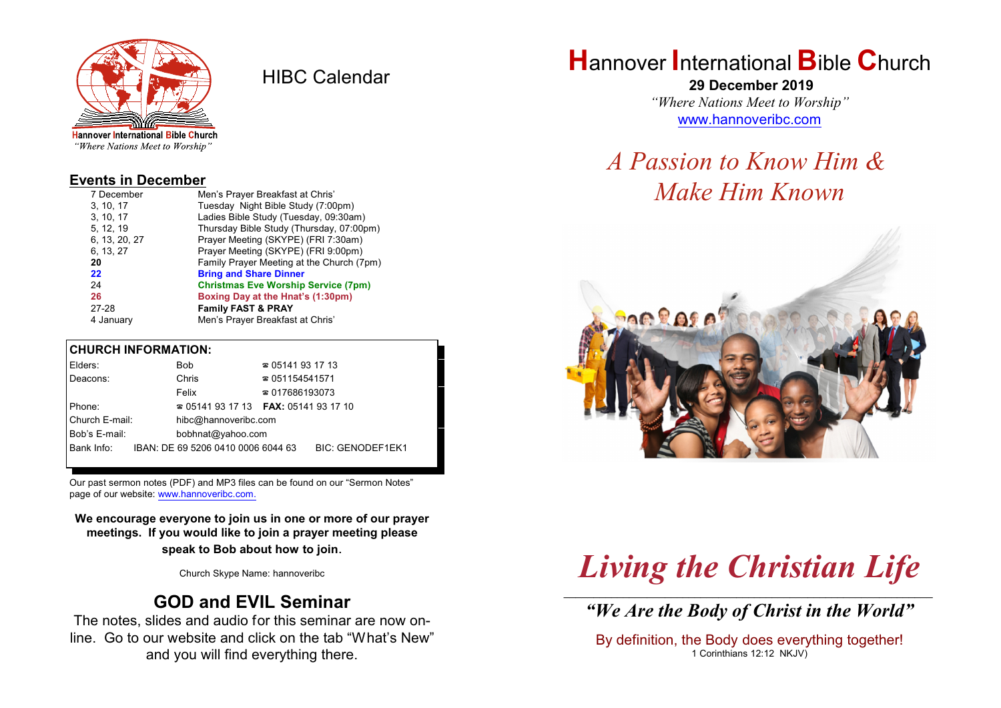

HIBC Calendar

"Where Nations Meet to Worship"

#### **Events in December**

| 7 December    | Men's Prayer Breakfast at Chris'           |
|---------------|--------------------------------------------|
| 3, 10, 17     | Tuesday Night Bible Study (7:00pm)         |
| 3, 10, 17     | Ladies Bible Study (Tuesday, 09:30am)      |
| 5, 12, 19     | Thursday Bible Study (Thursday, 07:00pm)   |
| 6, 13, 20, 27 | Prayer Meeting (SKYPE) (FRI 7:30am)        |
| 6, 13, 27     | Prayer Meeting (SKYPE) (FRI 9:00pm)        |
| 20            | Family Prayer Meeting at the Church (7pm)  |
| 22            | <b>Bring and Share Dinner</b>              |
| 24            | <b>Christmas Eve Worship Service (7pm)</b> |
| 26            | Boxing Day at the Hnat's (1:30pm)          |
| 27-28         | <b>Family FAST &amp; PRAY</b>              |
| 4 January     | Men's Prayer Breakfast at Chris'           |

### **CHURCH INFORMATION:**

| Elders:        |  | Bob                                      | $\approx 05141931713$  |                         |
|----------------|--|------------------------------------------|------------------------|-------------------------|
| Deacons:       |  | Chris                                    | $\approx 051154541571$ |                         |
|                |  | Felix                                    | $\approx 017686193073$ |                         |
| Phone:         |  | $\approx 05141931713$ FAX: 0514193 17 10 |                        |                         |
| Church E-mail: |  | hibc@hannoveribc.com                     |                        |                         |
| Bob's E-mail:  |  | bobhnat@yahoo.com                        |                        |                         |
| Bank Info:     |  | IBAN: DE 69 5206 0410 0006 6044 63       |                        | <b>BIC: GENODEF1EK1</b> |
|                |  |                                          |                        |                         |

Our past sermon notes (PDF) and MP3 files can be found on our "Sermon Notes" page of our website: [www.hannoveribc.com.](http://www.hannoveribc.com.)

**We encourage everyone to join us in one or more of our prayer meetings. If you would like to join a prayer meeting please speak to Bob about how to join**.

Church Skype Name: hannoveribc

## **GOD and EVIL Seminar**

The notes, slides and audio for this seminar are now online. Go to our website and click on the tab "What's New" and you will find everything there.

# **H**annover **I**nternational **B**ible **C**hurch

 **29 December 2019** *"Where Nations Meet to Worship"* [www.hannoveribc.com](http://www.hannoveribc.com)

## *A Passion to Know Him & Make Him Known*



## *Living the Christian Life* \_\_\_\_\_\_\_\_\_\_\_\_\_\_\_\_\_\_\_\_\_\_\_\_\_\_\_\_\_\_\_\_\_\_\_\_\_\_\_\_\_\_\_\_\_\_\_\_\_\_\_\_\_\_\_\_\_\_\_\_\_\_

*"We Are the Body of Christ in the World"*

By definition, the Body does everything together! 1 Corinthians 12:12 NKJV)